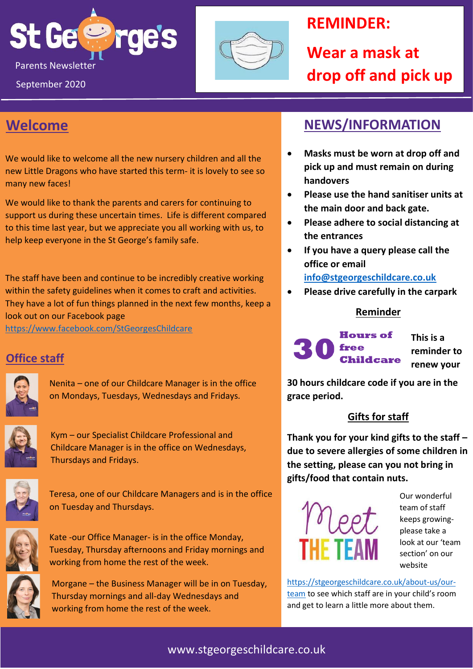



# **REMINDER:**

**Wear a mask at drop off and pick up**

# **Welcome**

We would like to welcome all the new nursery children and all the new Little Dragons who have started this term- it is lovely to see so many new faces!

We would like to thank the parents and carers for continuing to support us during these uncertain times. Life is different compared to this time last year, but we appreciate you all working with us, to help keep everyone in the St George's family safe.

The staff have been and continue to be incredibly creative working within the safety guidelines when it comes to craft and activities. They have a lot of fun things planned in the next few months, keep a look out on our Facebook page

<https://www.facebook.com/StGeorgesChildcare>

### **Office staff**



Nenita – one of our Childcare Manager is in the office on Mondays, Tuesdays, Wednesdays and Fridays.



Kym – our Specialist Childcare Professional and Childcare Manager is in the office on Wednesdays, Thursdays and Fridays.



Teresa, one of our Childcare Managers and is in the office on Tuesday and Thursdays.



Kate -our Office Manager- is in the office Monday, Tuesday, Thursday afternoons and Friday mornings and working from home the rest of the week.



Morgane – the Business Manager will be in on Tuesday, Thursday mornings and all-day Wednesdays and working from home the rest of the week.

# **NEWS/INFORMATION**

- **Masks must be worn at drop off and pick up and must remain on during handovers**
- **Please use the hand sanitiser units at the main door and back gate.**
- **Please adhere to social distancing at the entrances**
- **If you have a query please call the office or email [info@stgeorgeschildcare.co.uk](mailto:info@stgeorgeschildcare.co.uk)**
- **Please drive carefully in the carpark**

#### **Reminder**

**Hours of** free **Childcare**  **This is a reminder to renew your**

**30 hours childcare code if you are in the grace period.**

#### **Gifts for staff**

**Thank you for your kind gifts to the staff – due to severe allergies of some children in the setting, please can you not bring in gifts/food that contain nuts.**



Our wonderful team of staff keeps growingplease take a look at our 'team section' on our website

[https://stgeorgeschildcare.co.uk/about-us/our](https://stgeorgeschildcare.co.uk/about-us/our-team)[team](https://stgeorgeschildcare.co.uk/about-us/our-team) to see which staff are in your child's room and get to learn a little more about them.

#### www.stgeorgeschildcare.co.uk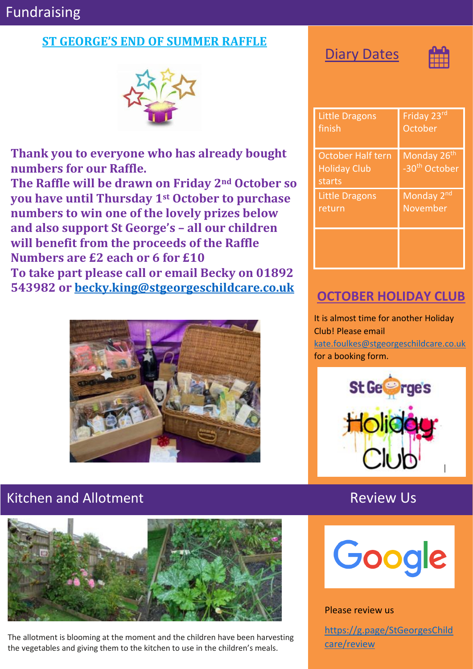# Fundraising

#### **ST GEORGE'S END OF SUMMER RAFFLE**



**Thank you to everyone who has already bought numbers for our Raffle.**

**The Raffle will be drawn on Friday 2nd October so you have until Thursday 1st October to purchase numbers to win one of the lovely prizes below and also support St George's – all our children will benefit from the proceeds of the Raffle Numbers are £2 each or 6 for £10 To take part please call or email Becky on 01892 543982 or [becky.king@stgeorgeschildcare.co.uk](mailto:becky.king@stgeorgeschildcare.co.uk)**



## Kitchen and Allotment **Review Us**



The allotment is blooming at the moment and the children have been harvesting the vegetables and giving them to the kitchen to use in the children's meals.

**Diary Dates** 



| <b>Little Dragons</b>                                     | Friday 23rd                                          |
|-----------------------------------------------------------|------------------------------------------------------|
| finish                                                    | October                                              |
| <b>October Half tern</b><br><b>Holiday Club</b><br>starts | Monday 26 <sup>th</sup><br>-30 <sup>th</sup> October |
| <b>Little Dragons</b>                                     | Monday 2 <sup>nd</sup>                               |
| return                                                    | November                                             |
|                                                           |                                                      |

### **OCTOBER HOLIDAY CLUB**

It is almost time for another Holiday Club! Please email [kate.foulkes@stgeorgeschildcare.co.uk](mailto:kate.foulkes@stgeorgeschildcare.co.uk) for a booking form.





#### Please review us

[https://g.page/StGeorgesChild](https://g.page/StGeorgesChildcare/review) [care/review](https://g.page/StGeorgesChildcare/review)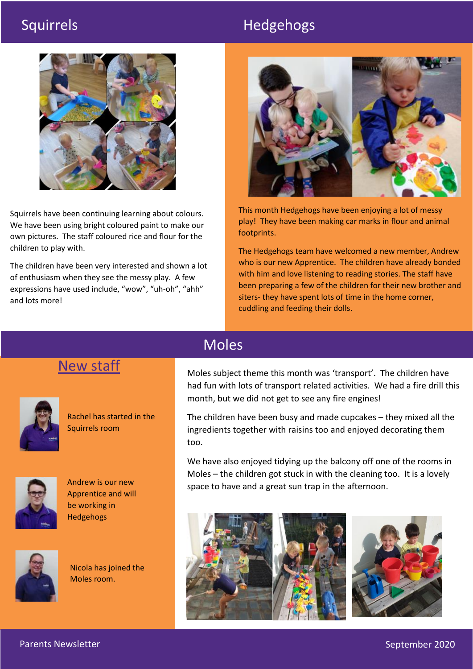# Squirrels Hedgehogs



Squirrels have been continuing learning about colours. We have been using bright coloured paint to make our own pictures. The staff coloured rice and flour for the children to play with.

The children have been very interested and shown a lot of enthusiasm when they see the messy play. A few expressions have used include, "wow", "uh-oh", "ahh" and lots more!



This month Hedgehogs have been enjoying a lot of messy play! They have been making car marks in flour and animal footprints.

The Hedgehogs team have welcomed a new member, Andrew who is our new Apprentice. The children have already bonded with him and love listening to reading stories. The staff have been preparing a few of the children for their new brother and siters- they have spent lots of time in the home corner, cuddling and feeding their dolls.

## New staff



Rachel has started in the Squirrels room



Andrew is our new Apprentice and will be working in Hedgehogs



Nicola has joined the Moles room.

### Moles

Moles subject theme this month was 'transport'. The children have had fun with lots of transport related activities. We had a fire drill this month, but we did not get to see any fire engines!

The children have been busy and made cupcakes – they mixed all the ingredients together with raisins too and enjoyed decorating them too.

We have also enjoyed tidying up the balcony off one of the rooms in Moles – the children got stuck in with the cleaning too. It is a lovely space to have and a great sun trap in the afternoon.